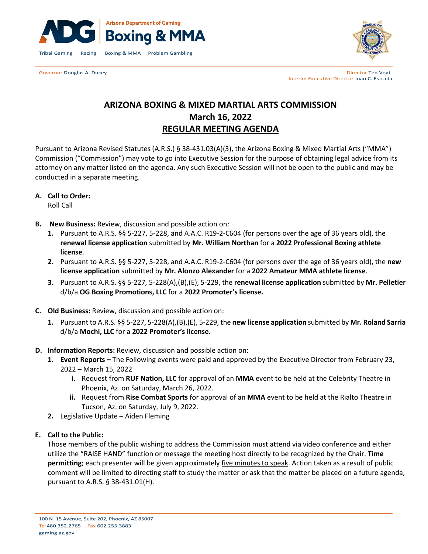



Governor Douglas A. Ducey **Director Ted Vogt Contract Contract Contract Contract Contract Contract Contract Contract Contract Contract Contract Contract Contract Contract Contract Contract Contract Contract Contract Cont** Interim Executive Director Juan C. Estrada

# **ARIZONA BOXING & MIXED MARTIAL ARTS COMMISSION March 16, 2022 REGULAR MEETING AGENDA**

Pursuant to Arizona Revised Statutes (A.R.S.) § 38-431.03(A)(3), the Arizona Boxing & Mixed Martial Arts ("MMA") Commission ("Commission") may vote to go into Executive Session for the purpose of obtaining legal advice from its attorney on any matter listed on the agenda. Any such Executive Session will not be open to the public and may be conducted in a separate meeting.

**A. Call to Order:**

Roll Call

- **B. New Business:** Review, discussion and possible action on:
	- **1.** Pursuant to A.R.S. §§ 5-227, 5-228, and A.A.C. R19-2-C604 (for persons over the age of 36 years old), the **renewal license application** submitted by **Mr. William Northan** for a **2022 Professional Boxing athlete license**.
	- **2.** Pursuant to A.R.S. §§ 5-227, 5-228, and A.A.C. R19-2-C604 (for persons over the age of 36 years old), the **new license application** submitted by **Mr. Alonzo Alexander** for a **2022 Amateur MMA athlete license**.
	- **3.** Pursuant to A.R.S. §§ 5-227, 5-228(A),(B),(E), 5-229, the **renewal license application** submitted by **Mr. Pelletier** d/b/a **OG Boxing Promotions, LLC** for a **2022 Promoter's license.**
- **C. Old Business:** Review, discussion and possible action on:
	- **1.** Pursuant to A.R.S. §§ 5-227, 5-228(A),(B),(E), 5-229, the **new license application** submitted by **Mr. Roland Sarria** d/b/a **Mochi, LLC** for a **2022 Promoter's license.**
- **D. Information Reports:** Review, discussion and possible action on:
	- **1. Event Reports –** The Following events were paid and approved by the Executive Director from February 23, 2022 – March 15, 2022
		- **i.** Request from **RUF Nation, LLC** for approval of an **MMA** event to be held at the Celebrity Theatre in Phoenix, Az. on Saturday, March 26, 2022.
		- **ii.** Request from **Rise Combat Sports** for approval of an **MMA** event to be held at the Rialto Theatre in Tucson, Az. on Saturday, July 9, 2022.
	- **2.** Legislative Update Aiden Fleming

#### **E. Call to the Public:**

Those members of the public wishing to address the Commission must attend via video conference and either utilize the "RAISE HAND" function or message the meeting host directly to be recognized by the Chair. **Time permitting**; each presenter will be given approximately five minutes to speak. Action taken as a result of public comment will be limited to directing staff to study the matter or ask that the matter be placed on a future agenda, pursuant to A.R.S. § 38-431.01(H).